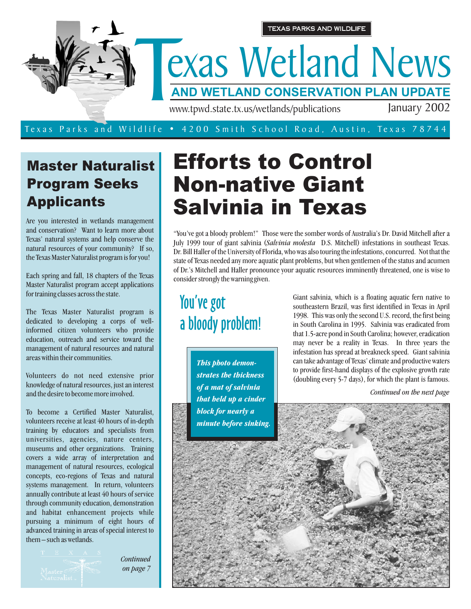

# Master Naturalist Program Seeks Applicants

Are you interested in wetlands management and conservation? Want to learn more about Texas' natural systems and help conserve the natural resources of your community? If so, the Texas Master Naturalist program is for you!

Each spring and fall, 18 chapters of the Texas Master Naturalist program accept applications for training classes across the state.

The Texas Master Naturalist program is dedicated to developing a corps of wellinformed citizen volunteers who provide education, outreach and service toward the management of natural resources and natural areas within their communities.

Volunteers do not need extensive prior knowledge of natural resources, just an interest and the desire to become more involved.

To become a Certified Master Naturalist, volunteers receive at least 40 hours of in-depth training by educators and specialists from universities, agencies, nature centers, museums and other organizations. Training covers a wide array of interpretation and management of natural resources, ecological concepts, eco-regions of Texas and natural systems management. In return, volunteers annually contribute at least 40 hours of service through community education, demonstration and habitat enhancement projects while pursuing a minimum of eight hours of advanced training in areas of special interest to them – such as wetlands.

*Continued on page 7*

# Efforts to Control Non-native Giant Salvinia in Texas

"You've got a bloody problem!" Those were the somber words of Australia's Dr. David Mitchell after a July 1999 tour of giant salvinia (Salvinia molesta D.S. Mitchell) infestations in southeast Texas. Dr. Bill Haller of the University of Florida, who was also touring the infestations, concurred. Not that the state of Texas needed any more aquatic plant problems, but when gentlemen of the status and acumen of Dr.'s Mitchell and Haller pronounce your aquatic resources imminently threatened, one is wise to consider strongly the warning given.

You've got a bloody problem!

> *This photo demonstrates the thickness of a mat of salvinia that held up a cinder block for nearly a minute before sinking.*

Giant salvinia, which is a floating aquatic fern native to southeastern Brazil, was first identified in Texas in April 1998. This was only the second U.S. record, the first being in South Carolina in 1995. Salvinia was eradicated from that 1.5-acre pond in South Carolina; however, eradication may never be a reality in Texas. In three years the infestation has spread at breakneck speed. Giant salvinia can take advantage of Texas' climate and productive waters to provide first-hand displays of the explosive growth rate (doubling every 5-7 days), for which the plant is famous.

*Continued on the next page*

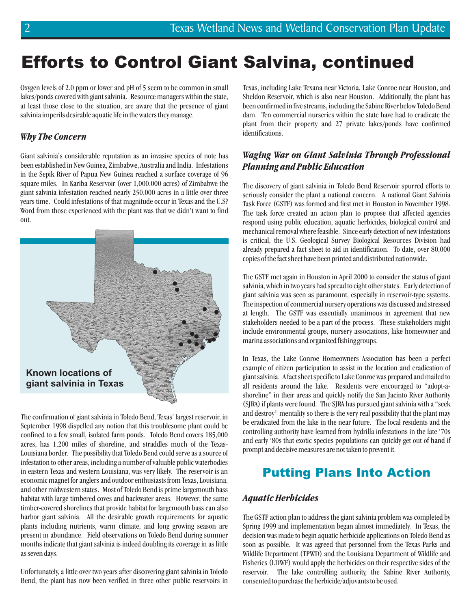# Efforts to Control Giant Salvina, continued

Oxygen levels of 2.0 ppm or lower and pH of 5 seem to be common in small lakes/ponds covered with giant salvinia. Resource managers within the state, at least those close to the situation, are aware that the presence of giant salvinia imperils desirable aquatic life in the waters they manage.

### *Why The Concern*

Giant salvinia's considerable reputation as an invasive species of note has been established in New Guinea, Zimbabwe, Australia and India. Infestations in the Sepik River of Papua New Guinea reached a surface coverage of 96 square miles. In Kariba Reservoir (over 1,000,000 acres) of Zimbabwe the giant salvinia infestation reached nearly 250,000 acres in a little over three years time. Could infestations of that magnitude occur in Texas and the U.S? Word from those experienced with the plant was that we didn't want to find out.



The confirmation of giant salvinia in Toledo Bend, Texas' largest reservoir, in September 1998 dispelled any notion that this troublesome plant could be confined to a few small, isolated farm ponds. Toledo Bend covers 185,000 acres, has 1,200 miles of shoreline, and straddles much of the Texas-Louisiana border. The possibility that Toledo Bend could serve as a source of infestation to other areas, including a number of valuable public waterbodies in eastern Texas and western Louisiana, was very likely. The reservoir is an economic magnet for anglers and outdoor enthusiasts from Texas, Louisiana, and other midwestern states. Most of Toledo Bend is prime largemouth bass habitat with large timbered coves and backwater areas. However, the same timber-covered shorelines that provide habitat for largemouth bass can also harbor giant salvinia. All the desirable growth requirements for aquatic plants including nutrients, warm climate, and long growing season are present in abundance. Field observations on Toledo Bend during summer months indicate that giant salvinia is indeed doubling its coverage in as little as seven days.

Unfortunately, a little over two years after discovering giant salvinia in Toledo Bend, the plant has now been verified in three other public reservoirs in

Texas, including Lake Texana near Victoria, Lake Conroe near Houston, and Sheldon Reservoir, which is also near Houston. Additionally, the plant has been confirmed in five streams, including the Sabine River below Toledo Bend dam. Ten commercial nurseries within the state have had to eradicate the plant from their property and 27 private lakes/ponds have confirmed identifications.

### *Waging War on Giant Salvinia Through Professional Planning and Public Education*

The discovery of giant salvinia in Toledo Bend Reservoir spurred efforts to seriously consider the plant a national concern. A national Giant Salvinia Task Force (GSTF) was formed and first met in Houston in November 1998. The task force created an action plan to propose that affected agencies respond using public education, aquatic herbicides, biological control and mechanical removal where feasible. Since early detection of new infestations is critical, the U.S. Geological Survey Biological Resources Division had already prepared a fact sheet to aid in identification. To date, over 80,000 copies of the fact sheet have been printed and distributed nationwide.

The GSTF met again in Houston in April 2000 to consider the status of giant salvinia, which in two years had spread to eight other states. Early detection of giant salvinia was seen as paramount, especially in reservoir-type systems. The inspection of commercial nursery operations was discussed and stressed at length. The GSTF was essentially unanimous in agreement that new stakeholders needed to be a part of the process. These stakeholders might include environmental groups, nursery associations, lake homeowner and marina associations and organized fishing groups.

In Texas, the Lake Conroe Homeowners Association has been a perfect example of citizen participation to assist in the location and eradication of giant salvinia. A fact sheet specific to Lake Conroe was prepared and mailed to all residents around the lake. Residents were encouraged to "adopt-ashoreline" in their areas and quickly notify the San Jacinto River Authority (SJRA) if plants were found. The SJRA has pursued giant salvinia with a "seek and destroy" mentality so there is the very real possibility that the plant may be eradicated from the lake in the near future. The local residents and the controlling authority have learned from hydrilla infestations in the late '70s and early '80s that exotic species populations can quickly get out of hand if prompt and decisive measures are not taken to prevent it.

### Putting Plans Into Action

### *Aquatic Herbicides*

The GSTF action plan to address the giant salvinia problem was completed by Spring 1999 and implementation began almost immediately. In Texas, the decision was made to begin aquatic herbicide applications on Toledo Bend as soon as possible. It was agreed that personnel from the Texas Parks and Wildlife Department (TPWD) and the Louisiana Department of Wildlife and Fisheries (LDWF) would apply the herbicides on their respective sides of the reservoir. The lake controlling authority, the Sabine River Authority, consented to purchase the herbicide/adjuvants to be used.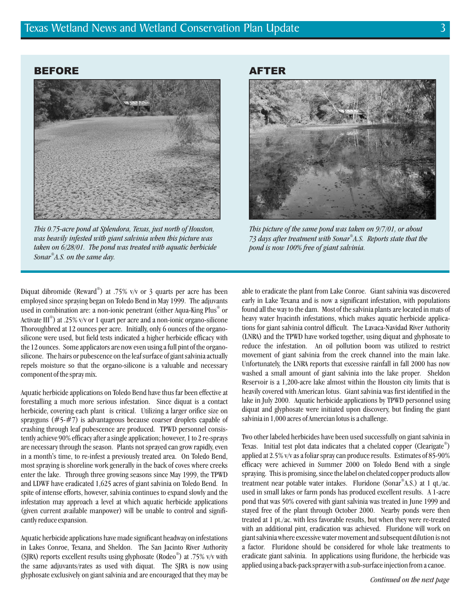#### BEFORE



*This 0.75-acre pond at Splendora, Texas, just north of Houston, was heavily infested with giant salvinia when this picture was taken on 6/28/01. The pond was treated with aquatic herbicide Sonar A.S. on the same day. ®*

AFTER



*This picture of the same pond was taken on 9/7/01, or about 73 days after treatment with Sonar A.S. Reports state that the ® pond is now 100% free of giant salvinia.*

Diquat dibromide (Reward®) at .75% v/v or 3 quarts per acre has been employed since spraying began on Toledo Bend in May 1999. The adjuvants used in combination are: a non-ionic penetrant (either Aqua-King Plus $^\circ$  or Activate III®) at .25% v/v or 1 quart per acre and a non-ionic organo-silicone Thoroughbred at 12 ounces per acre. Initially, only 6 ounces of the organosilicone were used, but field tests indicated a higher herbicide efficacy with the 12 ounces. Some applicators are now even using a full pint of the organosilicone. The hairs or pubescence on the leaf surface of giant salvinia actually repels moisture so that the organo-silicone is a valuable and necessary component of the spray mix.

Aquatic herbicide applications on Toledo Bend have thus far been effective at forestalling a much more serious infestation. Since diquat is a contact herbicide, covering each plant is critical. Utilizing a larger orifice size on sprayguns (#5-#7) is advantageous because coarser droplets capable of crashing through leaf pubescence are produced. TPWD personnel consistently achieve 90% efficacy after a single application; however, 1 to 2 re-sprays are necessary through the season. Plants not sprayed can grow rapidly, even in a month's time, to re-infest a previously treated area. On Toledo Bend, most spraying is shoreline work generally in the back of coves where creeks enter the lake. Through three growing seasons since May 1999, the TPWD and LDWF have eradicated 1,625 acres of giant salvinia on Toledo Bend. In spite of intense efforts, however, salvinia continues to expand slowly and the infestation may approach a level at which aquatic herbicide applications (given current available manpower) will be unable to control and significantly reduce expansion.

Aquatic herbicide applications have made significant headway on infestations in Lakes Conroe, Texana, and Sheldon. The San Jacinto River Authority (SJRA) reports excellent results using glyphosate (Rodeo®) at .75% v/v with the same adjuvants/rates as used with diquat. The SJRA is now using glyphosate exclusively on giant salvinia and are encouraged that they may be able to eradicate the plant from Lake Conroe. Giant salvinia was discovered early in Lake Texana and is now a significant infestation, with populations found all the way to the dam. Most of the salvinia plants are located in mats of heavy water hyacinth infestations, which makes aquatic herbicide applications for giant salvinia control difficult. The Lavaca-Navidad River Authority (LNRA) and the TPWD have worked together, using diquat and glyphosate to reduce the infestation. An oil pollution boom was utilized to restrict movement of giant salvinia from the creek channel into the main lake. Unfortunately, the LNRA reports that excessive rainfall in fall 2000 has now washed a small amount of giant salvinia into the lake proper. Sheldon Reservoir is a 1,200-acre lake almost within the Houston city limits that is heavily covered with American lotus. Giant salvinia was first identified in the lake in July 2000. Aquatic herbicide applications by TPWD personnel using diquat and glyphosate were initiated upon discovery, but finding the giant salvinia in 1,000 acres of Amercian lotus is a challenge.

Two other labeled herbicides have been used successfully on giant salvinia in Texas. Initial test plot data indicates that a chelated copper (Clearigate®) applied at 2.5% v/v as a foliar spray can produce results. Estimates of 85-90% efficacy were achieved in Summer 2000 on Toledo Bend with a single spraying. This is promising, since the label on chelated copper products allow treatment near potable water intakes. Fluridone (Sonar®A.S.) at 1 qt./ac. used in small lakes or farm ponds has produced excellent results. A 1-acre pond that was 50% covered with giant salvinia was treated in June 1999 and stayed free of the plant through October 2000. Nearby ponds were then treated at 1 pt./ac. with less favorable results, but when they were re-treated with an additional pint, eradication was achieved. Fluridone will work on giant salvinia where excessive water movement and subsequent dilution is not a factor. Fluridone should be considered for whole lake treatments to eradicate giant salvinia. In applications using fluridone, the herbicide was applied using a back-pack sprayer with a sub-surface injection from a canoe.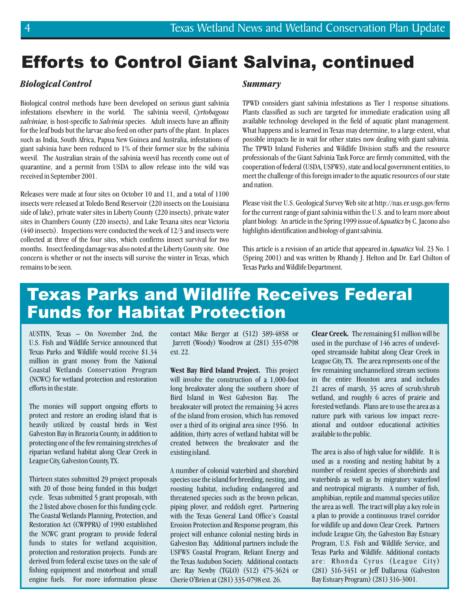# Efforts to Control Giant Salvina, continued

#### *Biological Control*

Biological control methods have been developed on serious giant salvinia infestations elsewhere in the world. The salvinia weevil, *Cyrtobagous* salviniae, is host-specific to Salvinia species. Adult insects have an affinity for the leaf buds but the larvae also feed on other parts of the plant. In places such as India, South Africa, Papua New Guinea and Australia, infestations of giant salvinia have been reduced to 1% of their former size by the salvinia weevil. The Australian strain of the salvinia weevil has recently come out of quarantine, and a permit from USDA to allow release into the wild was received in September 2001.

Releases were made at four sites on October 10 and 11, and a total of 1100 insects were released at Toledo Bend Reservoir (220 insects on the Louisiana side of lake), private water sites in Liberty County (220 insects), private water sites in Chambers County (220 insects), and Lake Texana sites near Victoria (440 insects). Inspections were conducted the week of 12/3 and insects were collected at three of the four sites, which confirms insect survival for two months. Insect feeding damage was also noted at the Liberty County site. One concern is whether or not the insects will survive the winter in Texas, which remains to be seen.

#### *Summary*

TPWD considers giant salvinia infestations as Tier 1 response situations. Plants classified as such are targeted for immediate eradication using all available technology developed in the field of aquatic plant management. What happens and is learned in Texas may determine, to a large extent, what possible impacts lie in wait for other states now dealing with giant salvinia. The TPWD Inland Fisheries and Wildlife Division staffs and the resource professionals of the Giant Salvinia Task Force are firmly committed, with the cooperation of federal (USDA, USFWS), state and local government entities, to meet the challenge of this foreign invader to the aquatic resources of our state and nation.

Please visit the U.S. Geological Survey Web site at http://nas.er.usgs.gov/ferns for the current range of giant salvinia within the U.S. and to learn more about plant biology. An article in the Spring 1999 issue of Aquatics by C. Jacono also highlights identification and biology of giant salvinia.

This article is a revision of an article that appeared in *Aquatics* Vol. 23 No. 1 (Spring 2001) and was written by Rhandy J. Helton and Dr. Earl Chilton of Texas Parks and Wildlife Department.

# Texas Parks and Wildlife Receives Federal Funds for Habitat Protection

AUSTIN, Texas – On November 2nd, the U.S. Fish and Wildlife Service announced that Texas Parks and Wildlife would receive \$1.34 million in grant money from the National Coastal Wetlands Conservation Program (NCWC) for wetland protection and restoration efforts in the state.

The monies will support ongoing efforts to protect and restore an eroding island that is heavily utilized by coastal birds in West Galveston Bay in Brazoria County, in addition to protecting one of the few remaining stretches of riparian wetland habitat along Clear Creek in League City, Galveston County, TX.

Thirteen states submitted 29 project proposals with 20 of those being funded in this budget cycle. Texas submitted 5 grant proposals, with the 2 listed above chosen for this funding cycle. The Coastal Wetlands Planning, Protection, and Restoration Act (CWPPRA) of 1990 established the NCWC grant program to provide federal funds to states for wetland acquisition, protection and restoration projects. Funds are derived from federal excise taxes on the sale of fishing equipment and motorboat and small engine fuels. For more information please

contact Mike Berger at (512) 389-4858 or Jarrett (Woody) Woodrow at (281) 335-0798 ext. 22.

**West Bay Bird Island Project.** This project will involve the construction of a 1,000-foot long breakwater along the southern shore of Bird Island in West Galveston Bay. The breakwater will protect the remaining 34 acres of the island from erosion, which has removed over a third of its original area since 1956. In addition, thirty acres of wetland habitat will be created between the breakwater and the existing island.

A number of colonial waterbird and shorebird species use the island for breeding, nesting, and roosting habitat, including endangered and threatened species such as the brown pelican, piping plover, and reddish egret. Partnering with the Texas General Land Office's Coastal Erosion Protection and Response program, this project will enhance colonial nesting birds in Galveston Bay. Additional partners include the USFWS Coastal Program, Reliant Energy and the Texas Audubon Society. Additional contacts are: Ray Newby (TGLO) (512) 475-3624 or Cherie O'Brien at (281) 335-0798 ext. 26.

Clear Creek. The remaining \$1 million will be used in the purchase of 146 acres of undeveloped streamside habitat along Clear Creek in League City, TX. The area represents one of the few remaining unchannelized stream sections in the entire Houston area and includes 21 acres of marsh, 35 acres of scrub/shrub wetland, and roughly 6 acres of prairie and forested wetlands. Plans are to use the area as a nature park with various low impact recreational and outdoor educational activities available to the public.

The area is also of high value for wildlife. It is used as a roosting and nesting habitat by a number of resident species of shorebirds and waterbirds as well as by migratory waterfowl and neotropical migrants. A number of fish, amphibian, reptile and mammal species utilize the area as well. The tract will play a key role in a plan to provide a continuous travel corridor for wildlife up and down Clear Creek. Partners include League City, the Galveston Bay Estuary Program, U.S. Fish and Wildlife Service, and Texas Parks and Wildlife. Additional contacts are: Rhonda Cyrus (League City) (281) 316-3451 or Jeff Dallarosa (Galveston Bay Estuary Program) (281) 316-3001.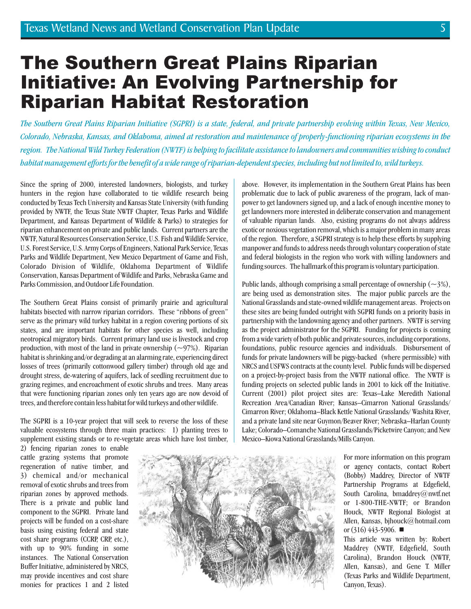# The Southern Great Plains Riparian Initiative: An Evolving Partnership for Riparian Habitat Restoration

*The Southern Great Plains Riparian Initiative (SGPRI) is a state, federal, and private partnership evolving within Texas, New Mexico, Colorado, Nebraska, Kansas, and Oklahoma, aimed at restoration and maintenance of properly-functioning riparian ecosystems in the region. The National Wild Turkey Federation (NWTF) is helping to facilitate assistance to landowners and communities wishing to conduct habitat management efforts for the benefit of a wide range of riparian-dependent species, including but not limited to, wild turkeys.*

Since the spring of 2000, interested landowners, biologists, and turkey hunters in the region have collaborated to tie wildlife research being conducted by Texas Tech University and Kansas State University (with funding provided by NWTF, the Texas State NWTF Chapter, Texas Parks and Wildlife Department, and Kansas Department of Wildlife & Parks) to strategies for riparian enhancement on private and public lands. Current partners are the NWTF, Natural Resources Conservation Service, U.S. Fish and Wildlife Service, U.S. Forest Service, U.S. Army Corps of Engineers, National Park Service, Texas Parks and Wildlife Department, New Mexico Department of Game and Fish, Colorado Division of Wildlife, Oklahoma Department of Wildlife Conservation, Kansas Department of Wildlife and Parks, Nebraska Game and Parks Commission, and Outdoor Life Foundation.

The Southern Great Plains consist of primarily prairie and agricultural habitats bisected with narrow riparian corridors. These "ribbons of green" serve as the primary wild turkey habitat in a region covering portions of six states, and are important habitats for other species as well, including neotropical migratory birds. Current primary land use is livestock and crop production, with most of the land in private ownership  $(-97%)$ . Riparian habitat is shrinking and/or degrading at an alarming rate, experiencing direct losses of trees (primarily cottonwood gallery timber) through old age and drought stress, de-watering of aquifers, lack of seedling recruitment due to grazing regimes, and encroachment of exotic shrubs and trees. Many areas that were functioning riparian zones only ten years ago are now devoid of trees, and therefore contain less habitat for wild turkeys and other wildlife.

The SGPRI is a 10-year project that will seek to reverse the loss of these valuable ecosystems through three main practices: 1) planting trees to supplement existing stands or to re-vegetate areas which have lost timber, above. However, its implementation in the Southern Great Plains has been problematic due to lack of public awareness of the program, lack of manpower to get landowners signed up, and a lack of enough incentive money to get landowners more interested in deliberate conservation and management of valuable riparian lands. Also, existing programs do not always address exotic or noxious vegetation removal, which is a major problem in many areas of the region. Therefore, a SGPRI strategy is to help these efforts by supplying manpower and funds to address needs through voluntary cooperation of state and federal biologists in the region who work with willing landowners and funding sources. The hallmark of this program is voluntary participation.

Public lands, although comprising a small percentage of ownership  $(\sim 3\%)$ , are being used as demonstration sites. The major public parcels are the National Grasslands and state-owned wildlife management areas. Projects on these sites are being funded outright with SGPRI funds on a priority basis in partnership with the landowning agency and other partners. NWTF is serving as the project administrator for the SGPRI. Funding for projects is coming from a wide variety of both public and private sources, including corporations, foundations, public resource agencies and individuals. Disbursement of funds for private landowners will be piggy-backed (where permissible) with NRCS and USFWS contracts at the county level. Public funds will be dispersed on a project-by-project basis from the NWTF national office. The NWTF is funding projects on selected public lands in 2001 to kick off the Initiative. Current (2001) pilot project sites are: Texas–Lake Meredith National Recreation Area/Canadian River; Kansas–Cimarron National Grasslands/ Cimarron River; Oklahoma–Black Kettle National Grasslands/ Washita River, and a private land site near Guymon/Beaver River; Nebraska–Harlan County Lake; Colorado–Comanche National Grasslands/Picketwire Canyon; and New Mexico–Kiowa National Grasslands/Mills Canyon.

2) fencing riparian zones to enable cattle grazing systems that promote regeneration of native timber, and 3) chemical and/or mechanical removal of exotic shrubs and trees from riparian zones by approved methods. There is a private and public land component to the SGPRI. Private land projects will be funded on a cost-share basis using existing federal and state cost share programs (CCRP, CRP, etc.), with up to 90% funding in some instances. The National Conservation Buffer Initiative, administered by NRCS, may provide incentives and cost share monies for practices 1 and 2 listed



For more information on this program or agency contacts, contact Robert (Bobby) Maddrey, Director of NWTF Partnership Programs at Edgefield, South Carolina, bmaddrey@nwtf.net or 1-800-THE-NWTF; or Brandon Houck, NWTF Regional Biologist at Allen, Kansas, bjhouck@hotmail.com or  $(316)$  443-5906.

This article was written by: Robert Maddrey (NWTF, Edgefield, South Carolina), Brandon Houck (NWTF, Allen, Kansas), and Gene T. Miller (Texas Parks and Wildlife Department, Canyon, Texas).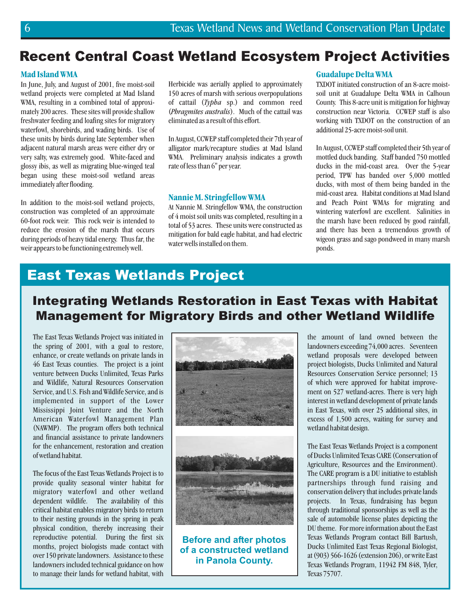### Recent Central Coast Wetland Ecosystem Project Activities

#### **MadIsland WMA**

In June, July, and August of 2001, five moist-soil wetland projects were completed at Mad Island WMA, resulting in a combined total of approximately 200 acres. These sites will provide shallow freshwater feeding and loafing sites for migratory waterfowl, shorebirds, and wading birds. Use of these units by birds during late September when adjacent natural marsh areas were either dry or very salty, was extremely good. White-faced and glossy ibis, as well as migrating blue-winged teal began using these moist-soil wetland areas immediately after flooding.

In addition to the moist-soil wetland projects, construction was completed of an approximate 60-foot rock weir. This rock weir is intended to reduce the erosion of the marsh that occurs during periods of heavy tidal energy. Thus far, the weir appears to be functioning extremely well.

Herbicide was aerially applied to approximately 150 acres of marsh with serious overpopulations of cattail (*Typha* sp.) and common reed (Phragmites australis). Much of the cattail was eliminated as a result of this effort.

In August, CCWEP staff completed their 7th year of alligator mark/recapture studies at Mad Island WMA. Preliminary analysis indicates a growth rate of less than 6" per year.

#### **Nannie M. Stringfellow WMA**

At Nannie M. Stringfellow WMA, the construction of 4 moist soil units was completed, resulting in a total of 53 acres. These units were constructed as mitigation for bald eagle habitat, and had electric water wells installed on them.

#### **Guadalupe Delta WMA**

TXDOT initiated construction of an 8-acre moistsoil unit at Guadalupe Delta WMA in Calhoun County. This 8-acre unit is mitigation for highway construction near Victoria. CCWEP staff is also working with TXDOT on the construction of an additional 25-acre moist-soil unit.

In August, CCWEP staff completed their 5th year of mottled duck banding. Staff banded 750 mottled ducks in the mid-coast area. Over the 5-year period, TPW has banded over 5,000 mottled ducks, with most of them being banded in the mid-coast area. Habitat conditions at Mad Island and Peach Point WMAs for migrating and wintering waterfowl are excellent. Salinities in the marsh have been reduced by good rainfall, and there has been a tremendous growth of wigeon grass and sago pondweed in many marsh ponds.

### East Texas Wetlands Project

### Integrating Wetlands Restoration in East Texas with Habitat Management for Migratory Birds and other Wetland Wildlife

The East Texas Wetlands Project was initiated in the spring of 2001, with a goal to restore, enhance, or create wetlands on private lands in 46 East Texas counties. The project is a joint venture between Ducks Unlimited, Texas Parks and Wildlife, Natural Resources Conservation Service, and U.S. Fish and Wildlife Service, and is implemented in support of the Lower Mississippi Joint Venture and the North American Waterfowl Management Plan (NAWMP). The program offers both technical and financial assistance to private landowners for the enhancement, restoration and creation of wetland habitat.

The focus of the East Texas Wetlands Project is to provide quality seasonal winter habitat for migratory waterfowl and other wetland dependent wildlife. The availability of this critical habitat enables migratory birds to return to their nesting grounds in the spring in peak physical condition, thereby increasing their reproductive potential. During the first six months, project biologists made contact with over 150 private landowners. Assistance to these landowners included technical guidance on how to manage their lands for wetland habitat, with



**Before and after photos of a constructed wetland in Panola County.**

the amount of land owned between the landowners exceeding 74,000 acres. Seventeen wetland proposals were developed between project biologists, Ducks Unlimited and Natural Resources Conservation Service personnel; 13 of which were approved for habitat improvement on 527 wetland-acres. There is very high interest in wetland development of private lands in East Texas, with over 25 additional sites, in excess of 1,500 acres, waiting for survey and wetland habitat design.

The East Texas Wetlands Project is a component of Ducks Unlimited Texas CARE (Conservation of Agriculture, Resources and the Environment). The CARE program is a DU initiative to establish partnerships through fund raising and conservation delivery that includes private lands projects. In Texas, fundraising has begun through traditional sponsorships as well as the sale of automobile license plates depicting the DU theme. For more information about the East Texas Wetlands Program contact Bill Bartush, Ducks Unlimited East Texas Regional Biologist, at (903) 566-1626 (extension 206), or write East Texas Wetlands Program, 11942 FM 848, Tyler, Texas 75707.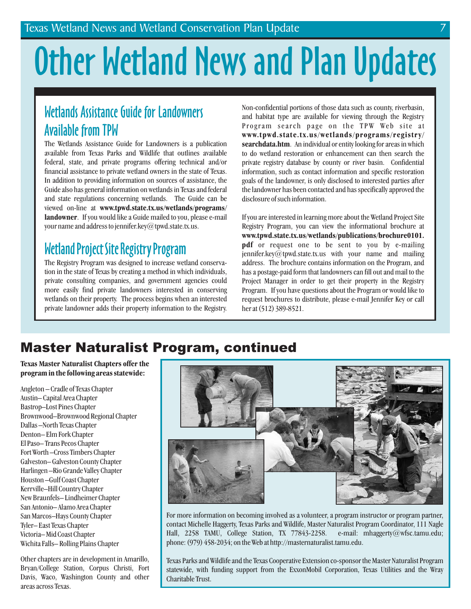# Other Wetland News and Plan Updates

## Wetlands Assistance Guide for Landowners Available from TPW

The Wetlands Assistance Guide for Landowners is a publication available from Texas Parks and Wildlife that outlines available federal, state, and private programs offering technical and/or financial assistance to private wetland owners in the state of Texas. In addition to providing information on sources of assistance, the Guide also has general information on wetlands in Texas and federal and state regulations concerning wetlands. The Guide can be viewed on-line at **www.tpwd.state.tx.us/wetlands/programs/** landowner. If you would like a Guide mailed to you, please e-mail your name and address to jennifer.key@tpwd.state.tx.us.

### Wetland Project Site Registry Program

The Registry Program was designed to increase wetland conservation in the state of Texas by creating a method in which individuals, private consulting companies, and government agencies could more easily find private landowners interested in conserving wetlands on their property. The process begins when an interested private landowner adds their property information to the Registry. Non-confidential portions of those data such as county, riverbasin, and habitat type are available for viewing through the Registry Program search page on the TPW Web site at . An individual or entity looking for areas in which **searchdata.htm** to do wetland restoration or enhancement can then search the private registry database by county or river basin. Confidential information, such as contact information and specific restoration goals of the landowner, is only disclosed to interested parties after the landowner has been contacted and has specifically approved the disclosure of such information. **www.tpwd.state.tx.us/wetlands/programs/registr y/**

If you are interested in learning more about the Wetland Project Site Registry Program, you can view the informational brochure at **pdf** or request one to be sent to you by e-mailing jennifer.key@tpwd.state.tx.us with your name and mailing address. The brochure contains information on the Program, and has a postage-paid form that landowners can fill out and mail to the Project Manager in order to get their property in the Registry Program. If you have questions about the Program or would like to request brochures to distribute, please e-mail Jennifer Key or call her at (512) 389-8521. **www.tpwd.state.tx.us/wetlands/publications/brochure0101.**

### Master Naturalist Program, continued

**Texas Master Naturalist Chapters offer the program inthe following areas statewide:**

Angleton – Cradle of Texas Chapter Austin– Capital Area Chapter Bastrop–Lost Pines Chapter Brownwood–Brownwood Regional Chapter Dallas –North Texas Chapter Denton– Elm Fork Chapter El Paso– Trans Pecos Chapter Fort Worth –Cross Timbers Chapter Galveston– Galveston County Chapter Harlingen –Rio Grande Valley Chapter Houston –Gulf Coast Chapter Kerrville–Hill Country Chapter New Braunfels– Lindheimer Chapter San Antonio– Alamo Area Chapter San Marcos–Hays County Chapter Tyler– East Texas Chapter Victoria– Mid Coast Chapter Wichita Falls– Rolling Plains Chapter

Other chapters are in development in Amarillo, Bryan/College Station, Corpus Christi, Fort Davis, Waco, Washington County and other areas across Texas.



For more information on becoming involved as a volunteer, a program instructor or program partner, contact Michelle Haggerty, Texas Parks and Wildlife, Master Naturalist Program Coordinator, 111 Nagle Hall, 2258 TAMU, College Station, TX 77843-2258. e-mail: mhaggerty@wfsc.tamu.edu; phone: (979) 458-2034; on the Web at http://masternaturalist.tamu.edu.

Texas Parks and Wildlife and the Texas Cooperative Extension co-sponsor the Master Naturalist Program statewide, with funding support from the ExxonMobil Corporation, Texas Utilities and the Wray Charitable Trust.